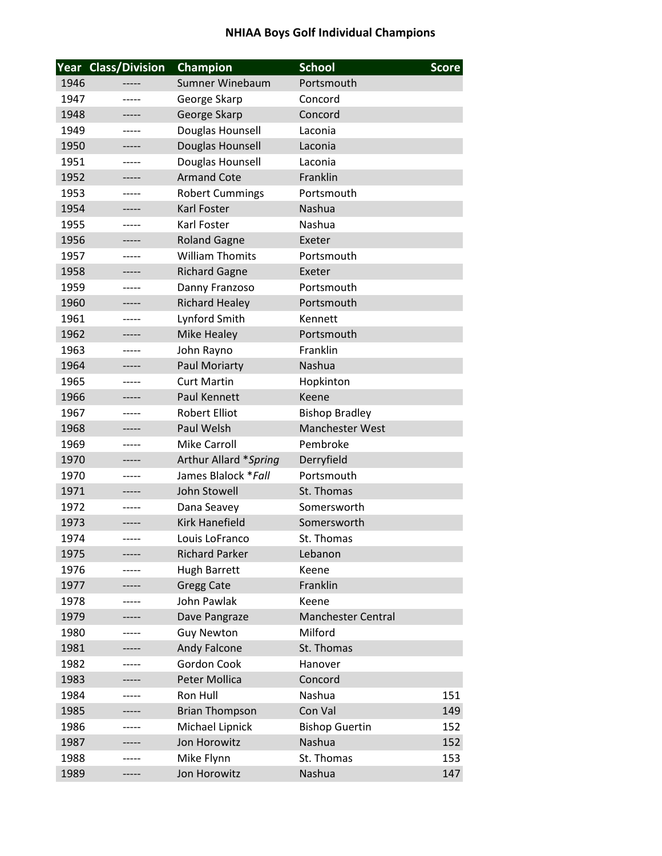|      | <b>Year Class/Division</b> | Champion               | <b>School</b>          | <b>Score</b> |
|------|----------------------------|------------------------|------------------------|--------------|
| 1946 |                            | <b>Sumner Winebaum</b> | Portsmouth             |              |
| 1947 | -----                      | George Skarp           | Concord                |              |
| 1948 |                            | George Skarp           | Concord                |              |
| 1949 |                            | Douglas Hounsell       | Laconia                |              |
| 1950 | -----                      | Douglas Hounsell       | Laconia                |              |
| 1951 | -----                      | Douglas Hounsell       | Laconia                |              |
| 1952 | -----                      | <b>Armand Cote</b>     | Franklin               |              |
| 1953 | -----                      | <b>Robert Cummings</b> | Portsmouth             |              |
| 1954 |                            | Karl Foster            | <b>Nashua</b>          |              |
| 1955 |                            | Karl Foster            | Nashua                 |              |
| 1956 | -----                      | <b>Roland Gagne</b>    | Exeter                 |              |
| 1957 | -----                      | <b>William Thomits</b> | Portsmouth             |              |
| 1958 | -----                      | <b>Richard Gagne</b>   | Exeter                 |              |
| 1959 |                            | Danny Franzoso         | Portsmouth             |              |
| 1960 |                            | <b>Richard Healey</b>  | Portsmouth             |              |
| 1961 | -----                      | Lynford Smith          | Kennett                |              |
| 1962 |                            | <b>Mike Healey</b>     | Portsmouth             |              |
| 1963 | -----                      | John Rayno             | Franklin               |              |
| 1964 |                            | Paul Moriarty          | Nashua                 |              |
| 1965 |                            | <b>Curt Martin</b>     | Hopkinton              |              |
| 1966 | -----                      | Paul Kennett           | Keene                  |              |
| 1967 |                            | <b>Robert Elliot</b>   | <b>Bishop Bradley</b>  |              |
| 1968 |                            | Paul Welsh             | <b>Manchester West</b> |              |
| 1969 |                            | <b>Mike Carroll</b>    | Pembroke               |              |
| 1970 | -----                      | Arthur Allard *Spring  | Derryfield             |              |
| 1970 | -----                      | James Blalock * Fall   | Portsmouth             |              |
| 1971 |                            | John Stowell           | St. Thomas             |              |
| 1972 | -----                      | Dana Seavey            | Somersworth            |              |
| 1973 |                            | <b>Kirk Hanefield</b>  | Somersworth            |              |
| 1974 | -----                      | Louis LoFranco         | St. Thomas             |              |
| 1975 |                            | <b>Richard Parker</b>  | Lebanon                |              |
| 1976 |                            | <b>Hugh Barrett</b>    | Keene                  |              |
| 1977 |                            | <b>Gregg Cate</b>      | Franklin               |              |
| 1978 |                            | John Pawlak            | Keene                  |              |
| 1979 |                            | Dave Pangraze          | Manchester Central     |              |
| 1980 |                            | <b>Guy Newton</b>      | Milford                |              |
| 1981 |                            | Andy Falcone           | St. Thomas             |              |
| 1982 |                            | Gordon Cook            | Hanover                |              |
| 1983 |                            | <b>Peter Mollica</b>   | Concord                |              |
| 1984 |                            | Ron Hull               | Nashua                 | 151          |
| 1985 |                            | <b>Brian Thompson</b>  | Con Val                | 149          |
| 1986 |                            | Michael Lipnick        | <b>Bishop Guertin</b>  | 152          |
| 1987 |                            | Jon Horowitz           | Nashua                 | 152          |
| 1988 |                            | Mike Flynn             | St. Thomas             | 153          |
| 1989 |                            | Jon Horowitz           | Nashua                 | 147          |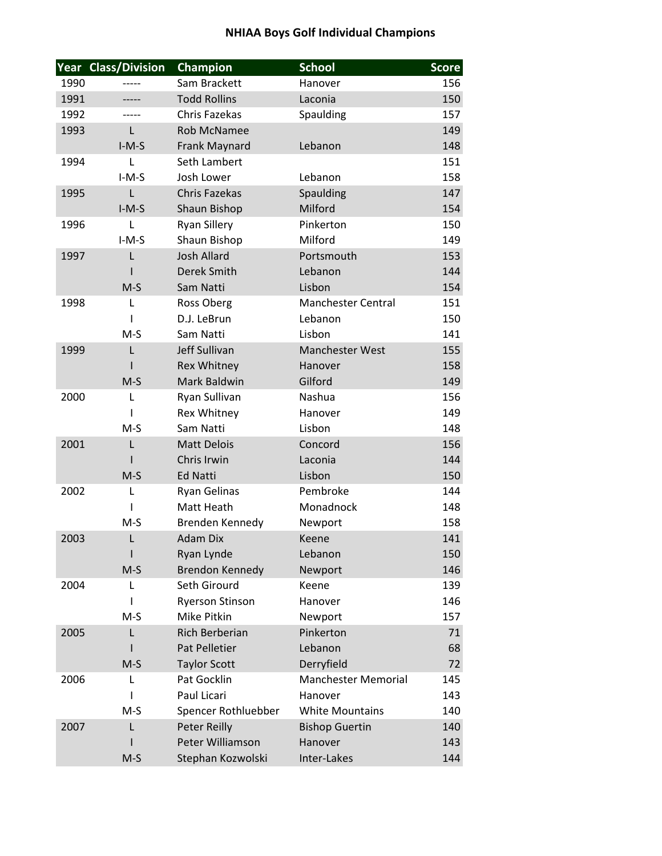|      | <b>Year Class/Division</b> | Champion                       | <b>School</b>              | <b>Score</b> |
|------|----------------------------|--------------------------------|----------------------------|--------------|
| 1990 |                            | Sam Brackett                   | Hanover                    | 156          |
| 1991 |                            | <b>Todd Rollins</b>            | Laconia                    | 150          |
| 1992 |                            | Chris Fazekas                  | Spaulding                  | 157          |
| 1993 | L                          | <b>Rob McNamee</b>             |                            | 149          |
|      | $I-M-S$                    | Frank Maynard                  | Lebanon                    | 148          |
| 1994 | L                          | Seth Lambert                   |                            | 151          |
|      | $I-M-S$                    | Josh Lower                     | Lebanon                    | 158          |
| 1995 | L                          | <b>Chris Fazekas</b>           | Spaulding                  | 147          |
|      | $I-M-S$                    | Shaun Bishop                   | Milford                    | 154          |
| 1996 | L                          | <b>Ryan Sillery</b>            | Pinkerton                  | 150          |
|      | $I-M-S$                    | Shaun Bishop                   | Milford                    | 149          |
| 1997 | L                          | <b>Josh Allard</b>             | Portsmouth                 | 153          |
|      |                            | Derek Smith                    | Lebanon                    | 144          |
|      | $M-S$                      | Sam Natti                      | Lisbon                     | 154          |
| 1998 | L                          | Ross Oberg                     | <b>Manchester Central</b>  | 151          |
|      | L                          | D.J. LeBrun                    | Lebanon                    | 150          |
|      | $M-S$                      | Sam Natti                      | Lisbon                     | 141          |
| 1999 | L                          | Jeff Sullivan                  | <b>Manchester West</b>     | 155          |
|      |                            | <b>Rex Whitney</b>             | Hanover                    | 158          |
|      | $M-S$                      | Mark Baldwin                   | Gilford                    | 149          |
| 2000 | L                          | Ryan Sullivan                  | Nashua                     | 156          |
|      |                            | Rex Whitney                    | Hanover                    | 149          |
|      | $M-S$                      | Sam Natti                      | Lisbon                     | 148          |
| 2001 | L                          | <b>Matt Delois</b>             | Concord                    | 156          |
|      |                            | Chris Irwin<br><b>Ed Natti</b> | Laconia<br>Lisbon          | 144<br>150   |
| 2002 | $M-S$<br>L                 |                                | Pembroke                   | 144          |
|      |                            | Ryan Gelinas<br>Matt Heath     | Monadnock                  | 148          |
|      | $M-S$                      | Brenden Kennedy                | Newport                    | 158          |
| 2003 | L                          | <b>Adam Dix</b>                | Keene                      | 141          |
|      |                            | Ryan Lynde                     | Lebanon                    | 150          |
|      | $M-S$                      | <b>Brendon Kennedy</b>         | Newport                    | 146          |
| 2004 | L                          | Seth Girourd                   | Keene                      | 139          |
|      | I                          | <b>Ryerson Stinson</b>         | Hanover                    | 146          |
|      | $M-S$                      | Mike Pitkin                    | Newport                    | 157          |
| 2005 | L                          | <b>Rich Berberian</b>          | Pinkerton                  | 71           |
|      |                            | Pat Pelletier                  | Lebanon                    | 68           |
|      | $M-S$                      | <b>Taylor Scott</b>            | Derryfield                 | 72           |
| 2006 | L                          | Pat Gocklin                    | <b>Manchester Memorial</b> | 145          |
|      |                            | Paul Licari                    | Hanover                    | 143          |
|      | $M-S$                      | Spencer Rothluebber            | <b>White Mountains</b>     | 140          |
| 2007 | L                          | <b>Peter Reilly</b>            | <b>Bishop Guertin</b>      | 140          |
|      |                            | Peter Williamson               | Hanover                    | 143          |
|      | $M-S$                      | Stephan Kozwolski              | Inter-Lakes                | 144          |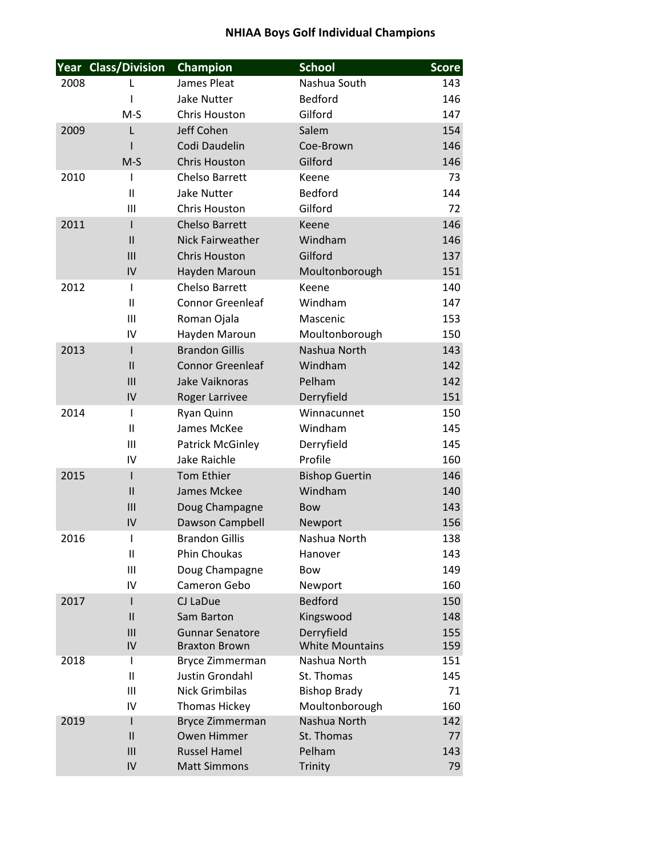|      | <b>Year Class/Division</b> | Champion                               | <b>School</b>           | <b>Score</b> |
|------|----------------------------|----------------------------------------|-------------------------|--------------|
| 2008 | L                          | James Pleat                            | Nashua South            | 143          |
|      |                            | <b>Jake Nutter</b>                     | <b>Bedford</b>          | 146          |
|      | $M-S$                      | Chris Houston                          | Gilford                 | 147          |
| 2009 | L                          | Jeff Cohen                             | Salem                   | 154          |
|      |                            | Codi Daudelin                          | Coe-Brown               | 146          |
|      | $M-S$                      | <b>Chris Houston</b>                   | Gilford                 | 146          |
| 2010 | ı                          | <b>Chelso Barrett</b>                  | Keene                   | 73           |
|      | $\mathbf{I}$               | <b>Jake Nutter</b>                     | <b>Bedford</b>          | 144          |
|      | Ш                          | Chris Houston                          | Gilford                 | 72           |
| 2011 | I                          | <b>Chelso Barrett</b>                  | Keene                   | 146          |
|      | $\mathsf{II}$              | Nick Fairweather                       | Windham                 | 146          |
|      | III                        | <b>Chris Houston</b>                   | Gilford                 | 137          |
|      | IV                         | Hayden Maroun<br><b>Chelso Barrett</b> | Moultonborough          | 151          |
| 2012 | I<br>$\mathbf{I}$          | <b>Connor Greenleaf</b>                | Keene<br>Windham        | 140<br>147   |
|      | Ш                          | Roman Ojala                            | Mascenic                | 153          |
|      | IV                         | Hayden Maroun                          | Moultonborough          | 150          |
| 2013 | $\mathsf{I}$               | <b>Brandon Gillis</b>                  | Nashua North            | 143          |
|      | $\mathbf{II}$              | <b>Connor Greenleaf</b>                | Windham                 | 142          |
|      | III                        | Jake Vaiknoras                         | Pelham                  | 142          |
|      | IV                         | Roger Larrivee                         | Derryfield              | 151          |
| 2014 | I                          | Ryan Quinn                             | Winnacunnet             | 150          |
|      | Ш                          | James McKee                            | Windham                 | 145          |
|      | III                        | Patrick McGinley                       | Derryfield              | 145          |
|      | IV                         | Jake Raichle                           | Profile                 | 160          |
| 2015 | I                          | <b>Tom Ethier</b>                      | <b>Bishop Guertin</b>   | 146          |
|      | $\mathbf{I}$               | James Mckee                            | Windham                 | 140          |
|      | III                        | Doug Champagne                         | <b>Bow</b>              | 143          |
|      | IV                         | Dawson Campbell                        | Newport                 | 156          |
| 2016 | I                          | <b>Brandon Gillis</b>                  | Nashua North            | 138          |
|      | Ш                          | Phin Choukas                           | Hanover                 | 143          |
|      | Ш                          | Doug Champagne                         | <b>Bow</b>              | 149          |
|      | IV                         | Cameron Gebo                           | Newport                 | 160          |
| 2017 | I                          | CJ LaDue                               | <b>Bedford</b>          | 150          |
|      | $\mathsf{II}$<br>III       | Sam Barton<br><b>Gunnar Senatore</b>   | Kingswood<br>Derryfield | 148<br>155   |
|      | IV                         | <b>Braxton Brown</b>                   | <b>White Mountains</b>  | 159          |
| 2018 | I                          | <b>Bryce Zimmerman</b>                 | Nashua North            | 151          |
|      | $\mathbf{I}$               | <b>Justin Grondahl</b>                 | St. Thomas              | 145          |
|      | Ш                          | <b>Nick Grimbilas</b>                  | <b>Bishop Brady</b>     | 71           |
|      | IV                         | <b>Thomas Hickey</b>                   | Moultonborough          | 160          |
| 2019 | I                          | Bryce Zimmerman                        | Nashua North            | 142          |
|      | $\mathbf{I}$               | Owen Himmer                            | St. Thomas              | 77           |
|      | III                        | <b>Russel Hamel</b>                    | Pelham                  | 143          |
|      | IV                         | <b>Matt Simmons</b>                    | Trinity                 | 79           |